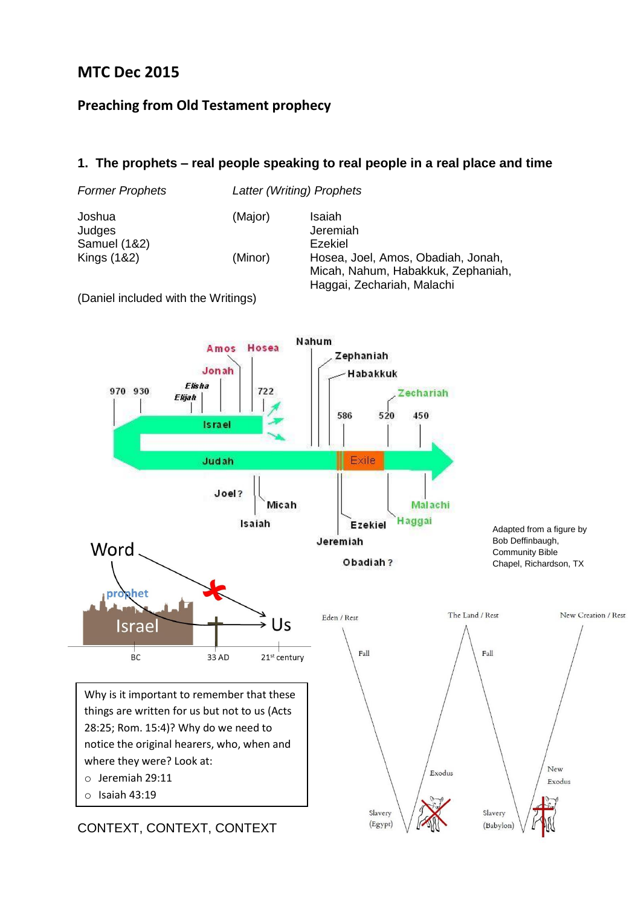# **MTC Dec 2015**

#### **Preaching from Old Testament prophecy**

#### **1. The prophets – real people speaking to real people in a real place and time**





CONTEXT, CONTEXT, CONTEXT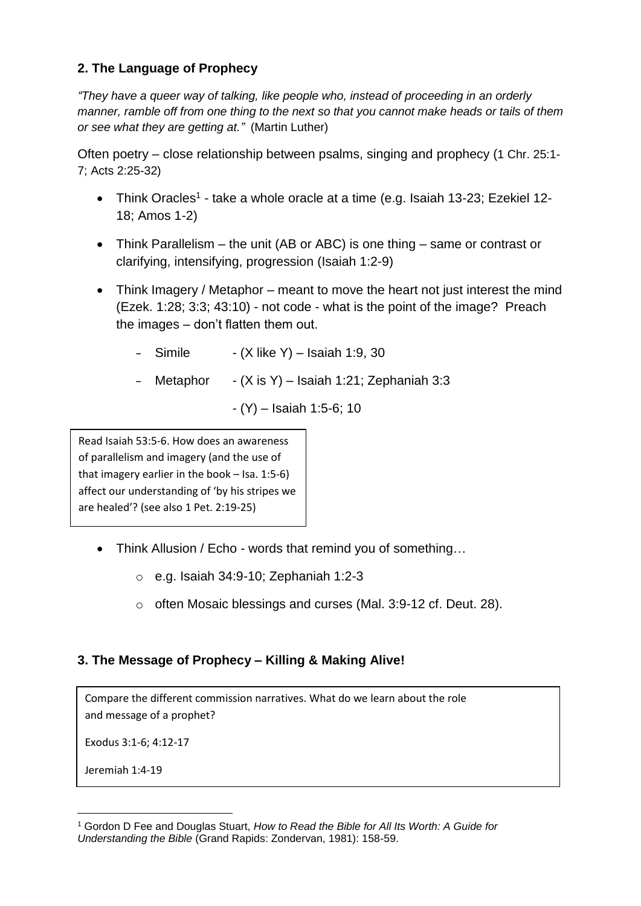## **2. The Language of Prophecy**

*"They have a queer way of talking, like people who, instead of proceeding in an orderly manner, ramble off from one thing to the next so that you cannot make heads or tails of them or see what they are getting at."* (Martin Luther)

Often poetry – close relationship between psalms, singing and prophecy (1 Chr. 25:1- 7; Acts 2:25-32)

- Think Oracles<sup>1</sup> take a whole oracle at a time (e.g. Isaiah 13-23; Ezekiel 12-18; Amos 1-2)
- Think Parallelism the unit (AB or ABC) is one thing same or contrast or clarifying, intensifying, progression (Isaiah 1:2-9)
- Think Imagery / Metaphor meant to move the heart not just interest the mind (Ezek. 1:28; 3:3; 43:10) - not code - what is the point of the image? Preach the images – don't flatten them out.
	- $-$  Simile  $-$  (X like Y) Isaiah 1:9, 30
	- Metaphor  $-(X \text{ is } Y)$  Isaiah 1:21; Zephaniah 3:3
		- (Y) Isaiah 1:5-6; 10

Read Isaiah 53:5-6. How does an awareness of parallelism and imagery (and the use of that imagery earlier in the book – Isa. 1:5-6) affect our understanding of 'by his stripes we are healed'? (see also 1 Pet. 2:19-25)

- Think Allusion / Echo words that remind you of something...
	- o e.g. Isaiah 34:9-10; Zephaniah 1:2-3
	- o often Mosaic blessings and curses (Mal. 3:9-12 cf. Deut. 28).

## **3. The Message of Prophecy – Killing & Making Alive!**

Compare the different commission narratives. What do we learn about the role and message of a prophet?

Exodus 3:1-6; 4:12-17

Jeremiah 1:4-19

<u>.</u>

<sup>1</sup> Gordon D Fee and Douglas Stuart, *How to Read the Bible for All Its Worth: A Guide for Understanding the Bible* (Grand Rapids: Zondervan, 1981): 158-59.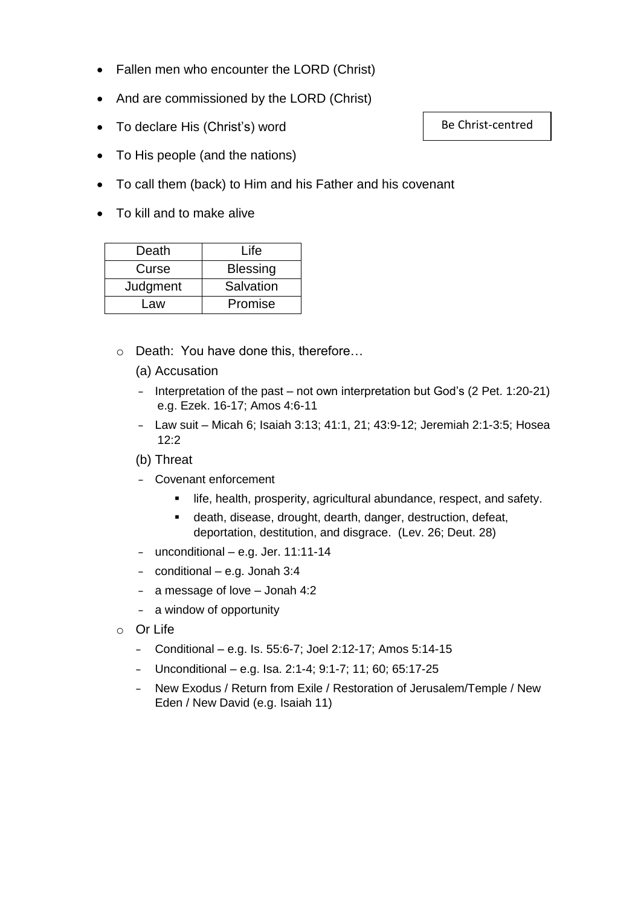- Fallen men who encounter the LORD (Christ)
- And are commissioned by the LORD (Christ)
- To declare His (Christ's) word
- To His people (and the nations)
- To call them (back) to Him and his Father and his covenant
- To kill and to make alive

| Death    | Life            |
|----------|-----------------|
| Curse    | <b>Blessing</b> |
| Judgment | Salvation       |
| Law      | Promise         |

- o Death: You have done this, therefore…
	- (a) Accusation
	- Interpretation of the past not own interpretation but God's (2 Pet. 1:20-21) e.g. Ezek. 16-17; Amos 4:6-11
	- Law suit Micah 6; Isaiah 3:13; 41:1, 21; 43:9-12; Jeremiah 2:1-3:5; Hosea 12:2
	- (b) Threat
	- Covenant enforcement
		- **Iffe, health, prosperity, agricultural abundance, respect, and safety.**
		- death, disease, drought, dearth, danger, destruction, defeat, deportation, destitution, and disgrace. (Lev. 26; Deut. 28)
	- unconditional e.g. Jer. 11:11-14
	- conditional e.g. Jonah 3:4
	- a message of love Jonah 4:2
	- a window of opportunity
- o Or Life
	- Conditional e.g. Is. 55:6-7; Joel 2:12-17; Amos 5:14-15
	- Unconditional e.g. Isa. 2:1-4; 9:1-7; 11; 60; 65:17-25
	- New Exodus / Return from Exile / Restoration of Jerusalem/Temple / New Eden / New David (e.g. Isaiah 11)

Be Christ-centred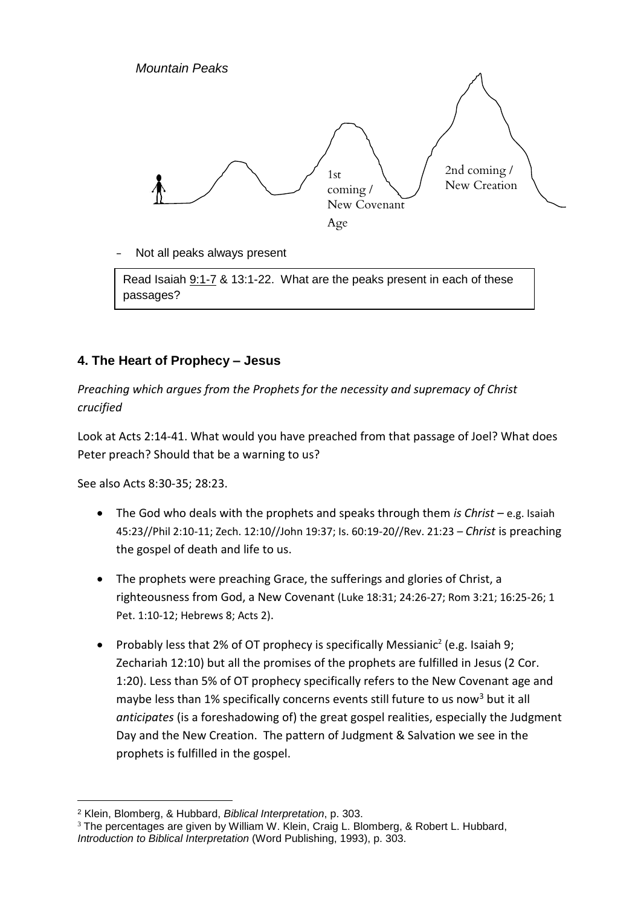

Not all peaks always present

Read Isaiah 9:1-7 & 13:1-22. What are the peaks present in each of these passages?

#### **4. The Heart of Prophecy – Jesus**

*Preaching which argues from the Prophets for the necessity and supremacy of Christ crucified*

Look at Acts 2:14-41. What would you have preached from that passage of Joel? What does Peter preach? Should that be a warning to us?

See also Acts 8:30-35; 28:23.

- The God who deals with the prophets and speaks through them *is Christ* e.g. Isaiah 45:23//Phil 2:10-11; Zech. 12:10//John 19:37; Is. 60:19-20//Rev. 21:23 – *Christ* is preaching the gospel of death and life to us.
- The prophets were preaching Grace, the sufferings and glories of Christ, a righteousness from God, a New Covenant (Luke 18:31; 24:26-27; Rom 3:21; 16:25-26; 1 Pet. 1:10-12; Hebrews 8; Acts 2).
- Probably less that 2% of OT prophecy is specifically Messianic<sup>2</sup> (e.g. Isaiah 9; Zechariah 12:10) but all the promises of the prophets are fulfilled in Jesus (2 Cor. 1:20). Less than 5% of OT prophecy specifically refers to the New Covenant age and maybe less than 1% specifically concerns events still future to us now<sup>3</sup> but it all *anticipates* (is a foreshadowing of) the great gospel realities, especially the Judgment Day and the New Creation. The pattern of Judgment & Salvation we see in the prophets is fulfilled in the gospel.

<sup>-</sup><sup>2</sup> Klein, Blomberg, & Hubbard, *Biblical Interpretation*, p. 303.

<sup>&</sup>lt;sup>3</sup> The percentages are given by William W. Klein, Craig L. Blomberg, & Robert L. Hubbard, *Introduction to Biblical Interpretation* (Word Publishing, 1993), p. 303.